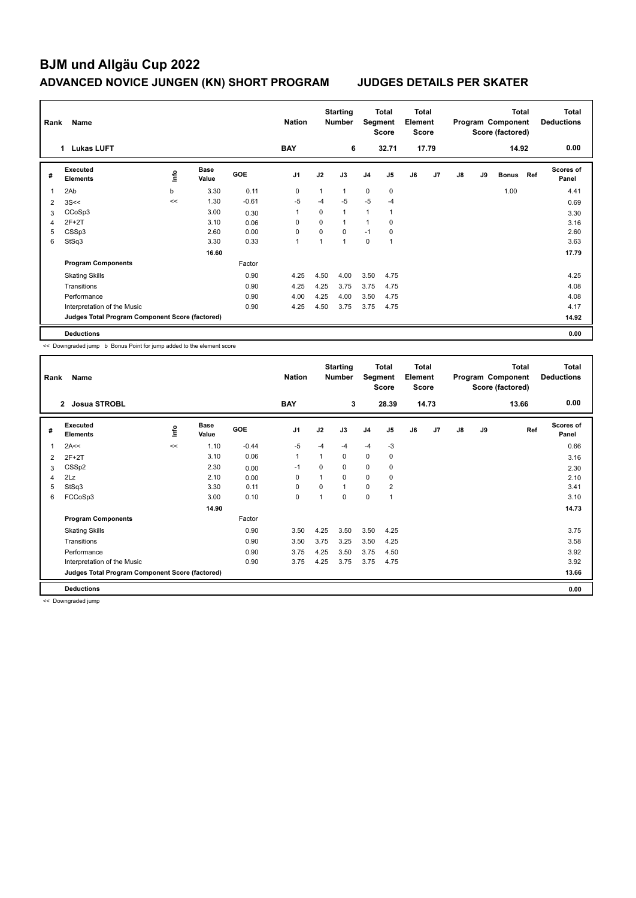# **BJM und Allgäu Cup 2022 ADVANCED NOVICE JUNGEN (KN) SHORT PROGRAM JUDGES DETAILS PER SKATER**

| Name<br>Rank            |                                                 |      |                      |            |                | <b>Starting</b><br><b>Nation</b><br><b>Number</b> |                |                | Total<br>Segment<br><b>Score</b> |    | <b>Total</b><br>Element<br><b>Score</b> |               | <b>Total</b><br>Program Component<br>Score (factored) |              |     | <b>Total</b><br><b>Deductions</b> |
|-------------------------|-------------------------------------------------|------|----------------------|------------|----------------|---------------------------------------------------|----------------|----------------|----------------------------------|----|-----------------------------------------|---------------|-------------------------------------------------------|--------------|-----|-----------------------------------|
| <b>Lukas LUFT</b><br>1. |                                                 |      |                      |            | <b>BAY</b>     |                                                   | 6              |                | 32.71                            |    | 17.79                                   |               |                                                       | 14.92        |     | 0.00                              |
| #                       | Executed<br><b>Elements</b>                     | lnfo | <b>Base</b><br>Value | <b>GOE</b> | J <sub>1</sub> | J2                                                | J3             | J <sub>4</sub> | J <sub>5</sub>                   | J6 | J <sub>7</sub>                          | $\mathsf{J}8$ | J9                                                    | <b>Bonus</b> | Ref | <b>Scores of</b><br>Panel         |
| 1                       | 2Ab                                             | b    | 3.30                 | 0.11       | 0              | 1                                                 | $\mathbf{1}$   | $\mathbf 0$    | 0                                |    |                                         |               |                                                       | 1.00         |     | 4.41                              |
| 2                       | 3S<<                                            | <<   | 1.30                 | $-0.61$    | $-5$           | $-4$                                              | -5             | $-5$           | $-4$                             |    |                                         |               |                                                       |              |     | 0.69                              |
| 3                       | CCoSp3                                          |      | 3.00                 | 0.30       | 1              | $\Omega$                                          | $\mathbf{1}$   | 1              | $\overline{1}$                   |    |                                         |               |                                                       |              |     | 3.30                              |
| 4                       | $2F+2T$                                         |      | 3.10                 | 0.06       | 0              | 0                                                 | $\overline{1}$ | 1              | 0                                |    |                                         |               |                                                       |              |     | 3.16                              |
| 5                       | CSSp3                                           |      | 2.60                 | 0.00       | 0              | 0                                                 | $\mathbf 0$    | $-1$           | 0                                |    |                                         |               |                                                       |              |     | 2.60                              |
| 6                       | StSq3                                           |      | 3.30                 | 0.33       | 1              | 1                                                 | $\overline{1}$ | $\Omega$       | $\overline{ }$                   |    |                                         |               |                                                       |              |     | 3.63                              |
|                         |                                                 |      | 16.60                |            |                |                                                   |                |                |                                  |    |                                         |               |                                                       |              |     | 17.79                             |
|                         | <b>Program Components</b>                       |      |                      | Factor     |                |                                                   |                |                |                                  |    |                                         |               |                                                       |              |     |                                   |
|                         | <b>Skating Skills</b>                           |      |                      | 0.90       | 4.25           | 4.50                                              | 4.00           | 3.50           | 4.75                             |    |                                         |               |                                                       |              |     | 4.25                              |
|                         | Transitions                                     |      |                      | 0.90       | 4.25           | 4.25                                              | 3.75           | 3.75           | 4.75                             |    |                                         |               |                                                       |              |     | 4.08                              |
|                         | Performance                                     |      |                      | 0.90       | 4.00           | 4.25                                              | 4.00           | 3.50           | 4.75                             |    |                                         |               |                                                       |              |     | 4.08                              |
|                         | Interpretation of the Music                     |      |                      | 0.90       | 4.25           | 4.50                                              | 3.75           | 3.75           | 4.75                             |    |                                         |               |                                                       |              |     | 4.17                              |
|                         | Judges Total Program Component Score (factored) |      |                      |            |                |                                                   |                |                |                                  |    |                                         |               |                                                       |              |     | 14.92                             |
|                         | <b>Deductions</b>                               |      |                      |            |                |                                                   |                |                |                                  |    |                                         |               |                                                       |              |     | 0.00                              |

<< Downgraded jump b Bonus Point for jump added to the element score

|   | Rank<br>Name                                    |    |                      |            | <b>Starting</b><br><b>Nation</b><br><b>Number</b> |          | Total<br>Segment<br><b>Score</b> |             | <b>Total</b><br>Element<br><b>Score</b> |    | <b>Total</b><br>Program Component<br>Score (factored) |               |    | <b>Total</b><br><b>Deductions</b> |                           |
|---|-------------------------------------------------|----|----------------------|------------|---------------------------------------------------|----------|----------------------------------|-------------|-----------------------------------------|----|-------------------------------------------------------|---------------|----|-----------------------------------|---------------------------|
|   | <b>Josua STROBL</b><br>$\mathbf{2}$             |    |                      |            | <b>BAY</b>                                        |          | 3                                |             | 28.39                                   |    | 14.73                                                 |               |    | 13.66                             | 0.00                      |
| # | Executed<br><b>Elements</b>                     | ١m | <b>Base</b><br>Value | <b>GOE</b> | J <sub>1</sub>                                    | J2       | J3                               | J4          | J5                                      | J6 | J7                                                    | $\mathsf{J}8$ | J9 | Ref                               | <b>Scores of</b><br>Panel |
| 1 | 2A<<                                            | << | 1.10                 | $-0.44$    | $-5$                                              | $-4$     | -4                               | $-4$        | $-3$                                    |    |                                                       |               |    |                                   | 0.66                      |
| 2 | $2F+2T$                                         |    | 3.10                 | 0.06       | $\overline{1}$                                    |          | 0                                | $\mathbf 0$ | 0                                       |    |                                                       |               |    |                                   | 3.16                      |
| 3 | CSS <sub>p2</sub>                               |    | 2.30                 | 0.00       | $-1$                                              | 0        | $\Omega$                         | $\mathbf 0$ | 0                                       |    |                                                       |               |    |                                   | 2.30                      |
| 4 | 2Lz                                             |    | 2.10                 | 0.00       | 0                                                 |          | $\Omega$                         | 0           | 0                                       |    |                                                       |               |    |                                   | 2.10                      |
| 5 | StSq3                                           |    | 3.30                 | 0.11       | $\Omega$                                          | $\Omega$ | $\mathbf{1}$                     | 0           | $\overline{2}$                          |    |                                                       |               |    |                                   | 3.41                      |
| 6 | FCCoSp3                                         |    | 3.00                 | 0.10       | 0                                                 |          | 0                                | $\mathbf 0$ |                                         |    |                                                       |               |    |                                   | 3.10                      |
|   |                                                 |    | 14.90                |            |                                                   |          |                                  |             |                                         |    |                                                       |               |    |                                   | 14.73                     |
|   | <b>Program Components</b>                       |    |                      | Factor     |                                                   |          |                                  |             |                                         |    |                                                       |               |    |                                   |                           |
|   | <b>Skating Skills</b>                           |    |                      | 0.90       | 3.50                                              | 4.25     | 3.50                             | 3.50        | 4.25                                    |    |                                                       |               |    |                                   | 3.75                      |
|   | Transitions                                     |    |                      | 0.90       | 3.50                                              | 3.75     | 3.25                             | 3.50        | 4.25                                    |    |                                                       |               |    |                                   | 3.58                      |
|   | Performance                                     |    |                      | 0.90       | 3.75                                              | 4.25     | 3.50                             | 3.75        | 4.50                                    |    |                                                       |               |    |                                   | 3.92                      |
|   | Interpretation of the Music                     |    |                      | 0.90       | 3.75                                              | 4.25     | 3.75                             | 3.75        | 4.75                                    |    |                                                       |               |    |                                   | 3.92                      |
|   | Judges Total Program Component Score (factored) |    |                      |            |                                                   |          |                                  |             |                                         |    |                                                       |               |    |                                   | 13.66                     |
|   | <b>Deductions</b>                               |    |                      |            |                                                   |          |                                  |             |                                         |    |                                                       |               |    |                                   | 0.00                      |

<< Downgraded jump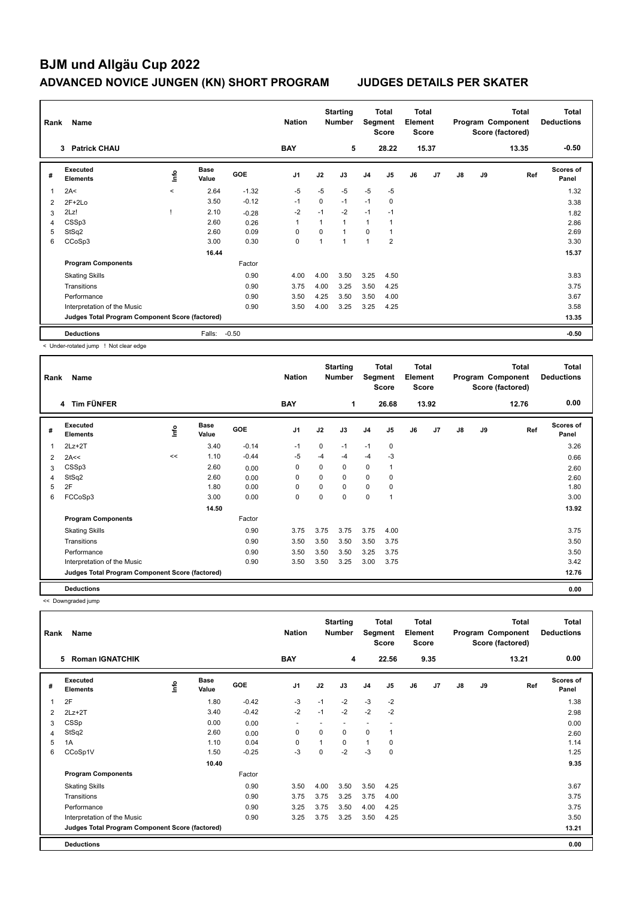## **BJM und Allgäu Cup 2022 ADVANCED NOVICE JUNGEN (KN) SHORT PROGRAM JUDGES DETAILS PER SKATER**

| Name<br>Rank |                                                 |         |                      |            | <b>Nation</b>  | <b>Starting</b><br><b>Number</b> |                | <b>Total</b><br>Segment<br><b>Score</b> |                          | <b>Total</b><br>Element<br><b>Score</b> |       | Program Component<br>Score (factored) |    | <b>Total</b> | <b>Total</b><br><b>Deductions</b> |
|--------------|-------------------------------------------------|---------|----------------------|------------|----------------|----------------------------------|----------------|-----------------------------------------|--------------------------|-----------------------------------------|-------|---------------------------------------|----|--------------|-----------------------------------|
|              | <b>Patrick CHAU</b><br>3                        |         |                      |            | <b>BAY</b>     |                                  | 5              |                                         | 28.22                    |                                         | 15.37 |                                       |    | 13.35        | $-0.50$                           |
| #            | Executed<br><b>Elements</b>                     | lnfo    | <b>Base</b><br>Value | <b>GOE</b> | J <sub>1</sub> | J2                               | J3             | J <sub>4</sub>                          | J5                       | J6                                      | J7    | $\mathsf{J}8$                         | J9 | Ref          | <b>Scores of</b><br>Panel         |
| 1            | 2A<                                             | $\prec$ | 2.64                 | $-1.32$    | $-5$           | $-5$                             | $-5$           | $-5$                                    | $-5$                     |                                         |       |                                       |    |              | 1.32                              |
| 2            | $2F+2Lo$                                        |         | 3.50                 | $-0.12$    | $-1$           | 0                                | $-1$           | $-1$                                    | $\mathbf 0$              |                                         |       |                                       |    |              | 3.38                              |
| 3            | 2Lz!                                            |         | 2.10                 | $-0.28$    | $-2$           | $-1$                             | $-2$           | $-1$                                    | $-1$                     |                                         |       |                                       |    |              | 1.82                              |
| 4            | CSSp3                                           |         | 2.60                 | 0.26       | 1              | $\overline{1}$                   | $\mathbf{1}$   | 1                                       | $\overline{\phantom{a}}$ |                                         |       |                                       |    |              | 2.86                              |
| 5            | StSq2                                           |         | 2.60                 | 0.09       | $\Omega$       | 0                                | $\mathbf{1}$   | $\Omega$                                | 1                        |                                         |       |                                       |    |              | 2.69                              |
| 6            | CCoSp3                                          |         | 3.00                 | 0.30       | 0              | $\overline{1}$                   | $\overline{1}$ | $\mathbf{1}$                            | $\overline{2}$           |                                         |       |                                       |    |              | 3.30                              |
|              |                                                 |         | 16.44                |            |                |                                  |                |                                         |                          |                                         |       |                                       |    |              | 15.37                             |
|              | <b>Program Components</b>                       |         |                      | Factor     |                |                                  |                |                                         |                          |                                         |       |                                       |    |              |                                   |
|              | <b>Skating Skills</b>                           |         |                      | 0.90       | 4.00           | 4.00                             | 3.50           | 3.25                                    | 4.50                     |                                         |       |                                       |    |              | 3.83                              |
|              | Transitions                                     |         |                      | 0.90       | 3.75           | 4.00                             | 3.25           | 3.50                                    | 4.25                     |                                         |       |                                       |    |              | 3.75                              |
|              | Performance                                     |         |                      | 0.90       | 3.50           | 4.25                             | 3.50           | 3.50                                    | 4.00                     |                                         |       |                                       |    |              | 3.67                              |
|              | Interpretation of the Music                     |         |                      | 0.90       | 3.50           | 4.00                             | 3.25           | 3.25                                    | 4.25                     |                                         |       |                                       |    |              | 3.58                              |
|              | Judges Total Program Component Score (factored) |         |                      |            |                |                                  |                |                                         |                          |                                         |       |                                       |    |              | 13.35                             |
|              | <b>Deductions</b>                               |         | Falls:               | $-0.50$    |                |                                  |                |                                         |                          |                                         |       |                                       |    |              | $-0.50$                           |

< Under-rotated jump ! Not clear edge

| Rank | Name                                            |    |                      |            | <b>Nation</b>  |          | <b>Starting</b><br><b>Number</b> | Segment        | <b>Total</b><br><b>Score</b> | Total<br>Element<br><b>Score</b> |                |               |    | <b>Total</b><br>Program Component<br>Score (factored) | Total<br><b>Deductions</b> |
|------|-------------------------------------------------|----|----------------------|------------|----------------|----------|----------------------------------|----------------|------------------------------|----------------------------------|----------------|---------------|----|-------------------------------------------------------|----------------------------|
|      | Tim FÜNFER<br>4                                 |    |                      |            | <b>BAY</b>     |          | 1                                |                | 26.68                        |                                  | 13.92          |               |    | 12.76                                                 | 0.00                       |
| #    | Executed<br><b>Elements</b>                     | ١m | <b>Base</b><br>Value | <b>GOE</b> | J <sub>1</sub> | J2       | J3                               | J <sub>4</sub> | J <sub>5</sub>               | J6                               | J <sub>7</sub> | $\mathsf{J}8$ | J9 | Ref                                                   | <b>Scores of</b><br>Panel  |
| 1    | $2Lz+2T$                                        |    | 3.40                 | $-0.14$    | $-1$           | $\Omega$ | $-1$                             | $-1$           | $\mathbf 0$                  |                                  |                |               |    |                                                       | 3.26                       |
| 2    | 2A<<                                            | << | 1.10                 | $-0.44$    | $-5$           | $-4$     | $-4$                             | $-4$           | $-3$                         |                                  |                |               |    |                                                       | 0.66                       |
| 3    | CSSp3                                           |    | 2.60                 | 0.00       | $\Omega$       | $\Omega$ | 0                                | 0              |                              |                                  |                |               |    |                                                       | 2.60                       |
| 4    | StSq2                                           |    | 2.60                 | 0.00       | $\Omega$       | $\Omega$ | 0                                | 0              | $\Omega$                     |                                  |                |               |    |                                                       | 2.60                       |
| 5    | 2F                                              |    | 1.80                 | 0.00       | $\Omega$       | $\Omega$ | 0                                | 0              | 0                            |                                  |                |               |    |                                                       | 1.80                       |
| 6    | FCCoSp3                                         |    | 3.00                 | 0.00       | $\mathbf 0$    | $\Omega$ | 0                                | $\mathbf 0$    | $\overline{\phantom{a}}$     |                                  |                |               |    |                                                       | 3.00                       |
|      |                                                 |    | 14.50                |            |                |          |                                  |                |                              |                                  |                |               |    |                                                       | 13.92                      |
|      | <b>Program Components</b>                       |    |                      | Factor     |                |          |                                  |                |                              |                                  |                |               |    |                                                       |                            |
|      | <b>Skating Skills</b>                           |    |                      | 0.90       | 3.75           | 3.75     | 3.75                             | 3.75           | 4.00                         |                                  |                |               |    |                                                       | 3.75                       |
|      | Transitions                                     |    |                      | 0.90       | 3.50           | 3.50     | 3.50                             | 3.50           | 3.75                         |                                  |                |               |    |                                                       | 3.50                       |
|      | Performance                                     |    |                      | 0.90       | 3.50           | 3.50     | 3.50                             | 3.25           | 3.75                         |                                  |                |               |    |                                                       | 3.50                       |
|      | Interpretation of the Music                     |    |                      | 0.90       | 3.50           | 3.50     | 3.25                             | 3.00           | 3.75                         |                                  |                |               |    |                                                       | 3.42                       |
|      | Judges Total Program Component Score (factored) |    |                      |            |                |          |                                  |                |                              |                                  |                |               |    |                                                       | 12.76                      |
|      | <b>Deductions</b>                               |    |                      |            |                |          |                                  |                |                              |                                  |                |               |    |                                                       | 0.00                       |

<< Downgraded jump

| Rank | Name                                            |      |                      |         | <b>Nation</b>            |      | <b>Starting</b><br><b>Number</b> | Segment                  | Total<br><b>Score</b> | <b>Total</b><br>Element<br><b>Score</b> |      |               |    | <b>Total</b><br>Program Component<br>Score (factored) | Total<br><b>Deductions</b> |
|------|-------------------------------------------------|------|----------------------|---------|--------------------------|------|----------------------------------|--------------------------|-----------------------|-----------------------------------------|------|---------------|----|-------------------------------------------------------|----------------------------|
|      | <b>Roman IGNATCHIK</b><br>5                     |      |                      |         | <b>BAY</b>               |      | 4                                |                          | 22.56                 |                                         | 9.35 |               |    | 13.21                                                 | 0.00                       |
| #    | Executed<br><b>Elements</b>                     | ١nf٥ | <b>Base</b><br>Value | GOE     | J <sub>1</sub>           | J2   | J3                               | J <sub>4</sub>           | J5                    | J6                                      | J7   | $\mathsf{J}8$ | J9 | Ref                                                   | <b>Scores of</b><br>Panel  |
| 1    | 2F                                              |      | 1.80                 | $-0.42$ | $-3$                     | $-1$ | $-2$                             | $-3$                     | $-2$                  |                                         |      |               |    |                                                       | 1.38                       |
| 2    | $2Lz+2T$                                        |      | 3.40                 | $-0.42$ | $-2$                     | $-1$ | $-2$                             | $-2$                     | $-2$                  |                                         |      |               |    |                                                       | 2.98                       |
| 3    | CSSp                                            |      | 0.00                 | 0.00    | $\overline{\phantom{a}}$ |      | ٠                                | $\overline{\phantom{0}}$ |                       |                                         |      |               |    |                                                       | 0.00                       |
| 4    | StSq2                                           |      | 2.60                 | 0.00    | 0                        | 0    | 0                                | $\mathbf 0$              | 1                     |                                         |      |               |    |                                                       | 2.60                       |
| 5    | 1A                                              |      | 1.10                 | 0.04    | 0                        | 1    | 0                                | $\mathbf{1}$             | 0                     |                                         |      |               |    |                                                       | 1.14                       |
| 6    | CCoSp1V                                         |      | 1.50                 | $-0.25$ | $-3$                     | 0    | $-2$                             | $-3$                     | 0                     |                                         |      |               |    |                                                       | 1.25                       |
|      |                                                 |      | 10.40                |         |                          |      |                                  |                          |                       |                                         |      |               |    |                                                       | 9.35                       |
|      | <b>Program Components</b>                       |      |                      | Factor  |                          |      |                                  |                          |                       |                                         |      |               |    |                                                       |                            |
|      | <b>Skating Skills</b>                           |      |                      | 0.90    | 3.50                     | 4.00 | 3.50                             | 3.50                     | 4.25                  |                                         |      |               |    |                                                       | 3.67                       |
|      | Transitions                                     |      |                      | 0.90    | 3.75                     | 3.75 | 3.25                             | 3.75                     | 4.00                  |                                         |      |               |    |                                                       | 3.75                       |
|      | Performance                                     |      |                      | 0.90    | 3.25                     | 3.75 | 3.50                             | 4.00                     | 4.25                  |                                         |      |               |    |                                                       | 3.75                       |
|      | Interpretation of the Music                     |      |                      | 0.90    | 3.25                     | 3.75 | 3.25                             | 3.50                     | 4.25                  |                                         |      |               |    |                                                       | 3.50                       |
|      | Judges Total Program Component Score (factored) |      |                      |         |                          |      |                                  |                          |                       |                                         |      |               |    |                                                       | 13.21                      |
|      | <b>Deductions</b>                               |      |                      |         |                          |      |                                  |                          |                       |                                         |      |               |    |                                                       | 0.00                       |